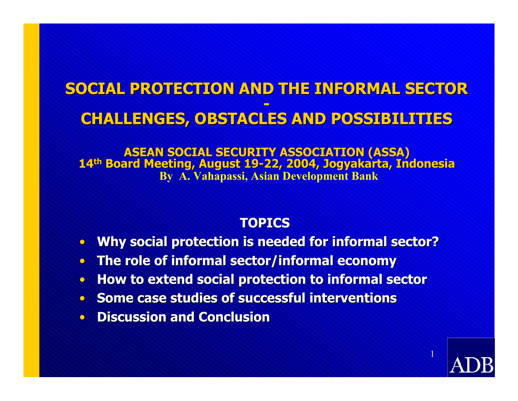### **SOCIAL PROTECTION AND THE INFORMAL SECTOR SOCIAL PROTECTION AND THE INFORMAL SECTORCHALLENGES, OBSTACLES AND POSSIBILITIES CHALLENGES, OBSTACLES AND POSSIBILITIES**

**ASEAN SOCIAL SECURITY ASSOCIATION (ASSA)<br>14<sup>th</sup> Board Meeting, August 19-22, 2004, Jogyakarta, Indonesia By A. Vahapassi, Asi an Development Bank**

#### **TOPICS**

- $\bullet$ **Why s ocial protection is needed for informal sector? cial protection is needed for informal sector?**
- **The role of informal sector/informal economy**
- **How to extend social protection to informal sector al sector**
- **Some case studies of successful interventions**
- **Discussion and Conclusion**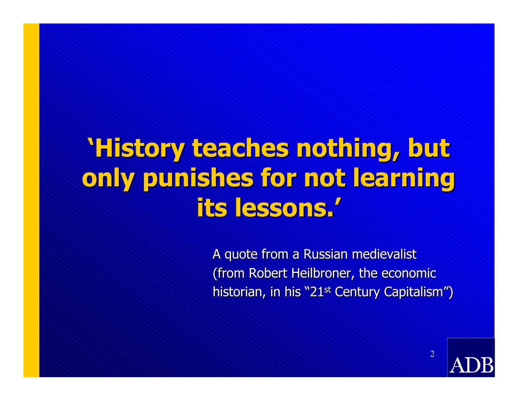# **'History teaches nothing, but 'History teaches nothing, but**  only punishes for not learning **its lessons.' its lessons.'**

A quote from a Russian medievalist (from Robert Heilbroner, the economic historian, in his "21<sup>st</sup> Century Capitalism")



 $\overline{2}$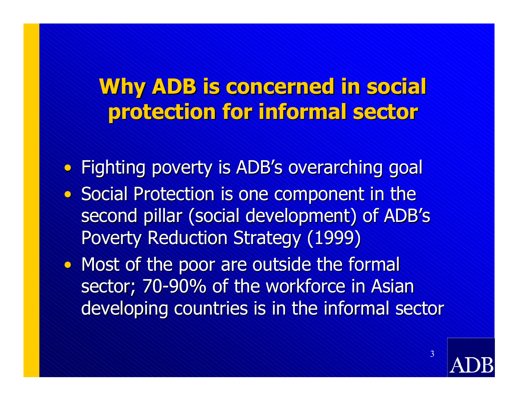## **Why ADB is concerned in social Why ADB is concerned in social protection for informal sector protection for informal sector**

• Fighting poverty is ADB's overarching goal • Social Protection is one component in the second pillar (social development) of ADB's Poverty Reduction Strategy (1999)

• Most of the poor are outside the formal sector; 70-90% of the workforce in Asian developing countries is in the informal sector

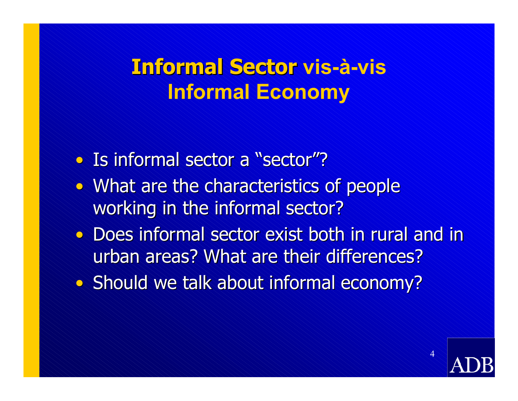## **Informal Sector vis-à-vis Informal Economy**

- Is informal sector a "sector"?
- What are the characteristics of people working in the informal sector?
- Does informal sector exist both in rural and in urban areas? What are their differences?
- Should we talk about informal economy?

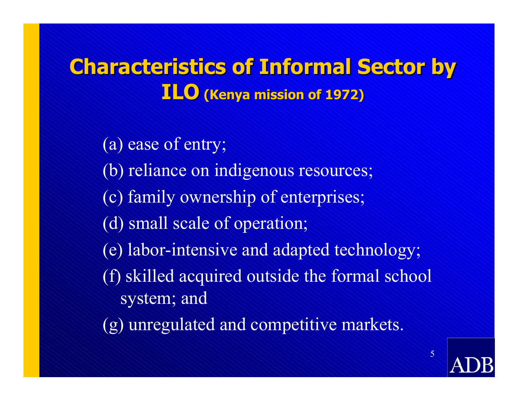## **Characteristics of Informal Sector by ILO (Kenya mission of 1972) (Kenya mission of 1972)**

(a) ease of entry; (b) reliance on indigenous resources; (c) family ownership of enterprises; (d) small scale of operation; (e) labor-intensive and adapted technology; (f) skilled acquired outside the formal school system; and (g) unregulated and competitive markets.

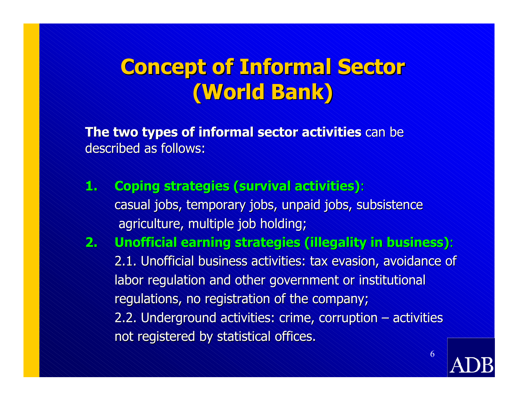## **Concept of Informal Sector (World Bank) (World Bank)**

**The two types of informal sector activities** can be described as follows:

- **1. Coping strategies (survival activities):** casual jobs, temporary jobs, unpaid jobs, subsistence agriculture, multiple job holding;
- **2. Unofficial earning strategies (illegality in business):** 2.1. Unofficial business activities: tax evasion, avoidance of labor regulation and other government or institutional regulations, no registration of the company; 2.2. Underground activities: crime, corruption  $-$  activities not registered by statistical offices.

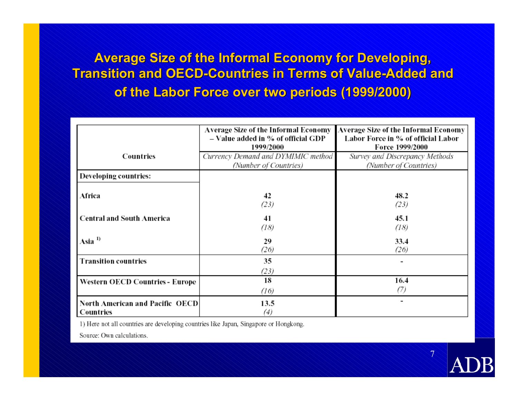**Average Size of the Informal Economy for Developing, Transition and OECD Transition and OECD-Countries in Terms of Value Countries in Terms of Value-Added and Added and of the Labor Force over two periods (1999/2000)** 

|                                              | Average Size of the Informal Economy<br>- Value added in % of official GDP<br>1999/2000 | Average Size of the Informal Economy<br>Labor Force in % of official Labor<br>Force 1999/2000 |
|----------------------------------------------|-----------------------------------------------------------------------------------------|-----------------------------------------------------------------------------------------------|
| Countries                                    | Currency Demand and DYMIMIC method<br>(Number of Countries)                             | Survey and Discrepancy Methods<br>(Number of Countries)                                       |
| Developing countries:                        |                                                                                         |                                                                                               |
| Africa                                       | 42<br>(23)                                                                              | 48.2<br>(23)                                                                                  |
| <b>Central and South America</b>             | 41<br>(18)                                                                              | 45.1<br>(18)                                                                                  |
| Asia $1$                                     | 29<br>(26)                                                                              | 33.4<br>(26)                                                                                  |
| <b>Transition countries</b>                  | 35<br>(23)                                                                              |                                                                                               |
| Western OECD Countries - Europe              | 18<br>(16)                                                                              | 16.4<br>(7)                                                                                   |
| North American and Pacific OECD<br>Countries | 13.5<br>(4)                                                                             |                                                                                               |

 $\overline{\mathcal{T}}$ 

1) Here not all countries are developing countries like Japan, Singapore or Hongkong.

Source: Own calculations.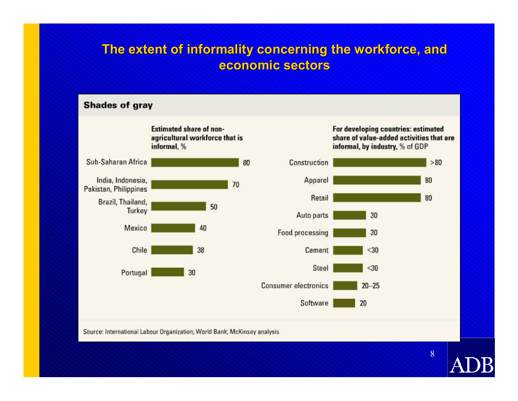#### **The extent of informality concerning the workforce, and economic economic sectors**



Source: International Labour Organization; World Bank; McKinsey analysis

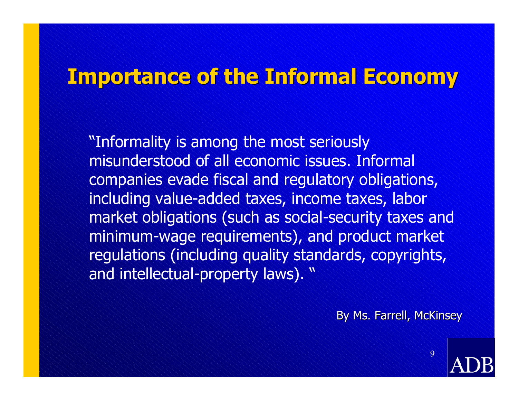### **Importance of the Informal Economy Importance of the Informal Economy**

"Informality is among the most seriously misunderstood of all economic issues. Informal companies evade fiscal and regulatory obligations, including value-added taxes, income taxes, labor market obligations (such as social-security taxes and minimum-wage requirements), and product market regulations (including quality standards, copyrights, and intellectual-property laws). "

By Ms. Farrell, McKinsey

 $\mathsf{Q}$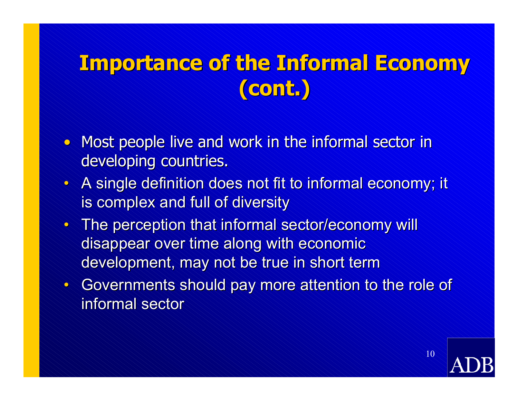## **Importance of the Informal Economy (cont.) (cont.)**

- Most people live and work in the informal sector in developing countries.
- $\bullet\,$  A single definition does not fit to informal economy; it is complex and full of diversity
- $\bullet$  The perception that informal sector/economy will disappear over time along with economic development, may not be true in short term
- Governments should pay more attention to the role of informal sector

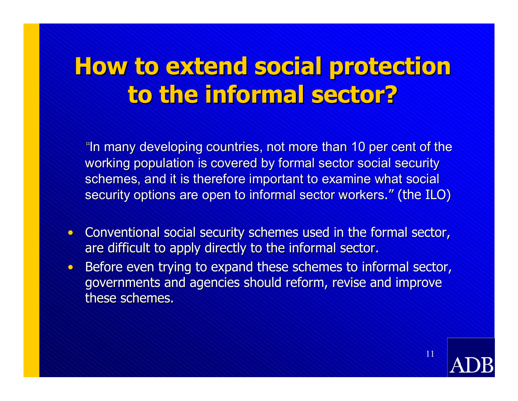# **How to extend social protection How to extend social protection to the informal sector? to the informal sector?**

"In many developing countries, not more than 10 per cent of the working population is covered by formal sector social security schemes, and it is therefore important to examine what social security options are open to informal sector workers." (the ILO)

- Conventional social security schemes used in the formal sector, are difficult to apply directly to the informal sector.
- $\bullet$ Before even trying to expand these schemes to informal sector, governments and agencies should reform, revise and improve these schemes.

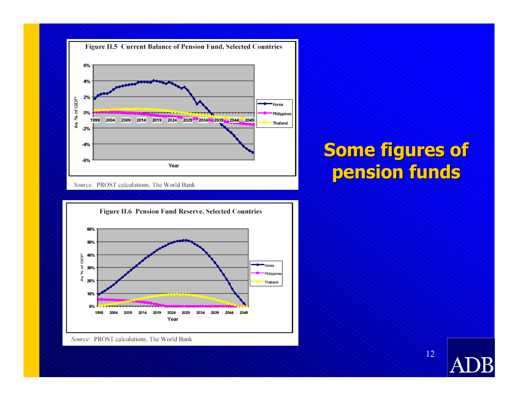

Source: PROST calculations, The World Bank



Source: PROST calculations, The World Bank

### **Some figures of pension funds pension funds**

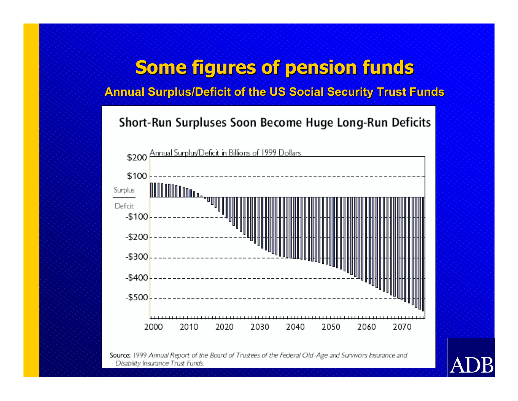#### **Some figures of pension funds**

**Annual Surplus/Deficit of the US Social Security Trust Funds** 

#### Short-Run Surpluses Soon Become Huge Long-Run Deficits



Source: 1999 Annual Report of the Board of Trustees of the Federal Old-Age and Survivors Insurance and Disability Insurance Trust Funds.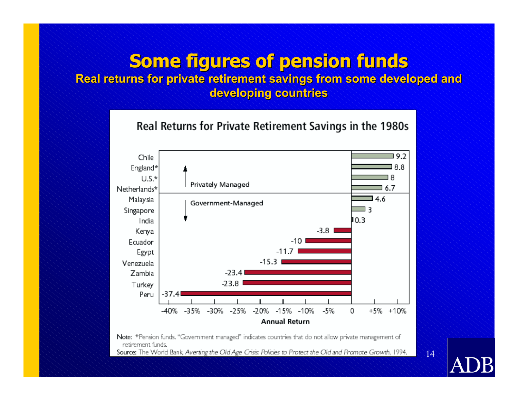#### **Some figures of pension funds**

#### **Real returns for private retirement savings from some developed and** developing countries

Real Returns for Private Retirement Savings in the 1980s 9.2 Chile 8.8 England\* 18  $U.S.*$ Privately Managed  $6.7$ Netherlands\*  $4.6$ Malaysia Government-Managed ⊐ ३ Singapore  $10.3$ India  $-3.8$ Kenya -10 Ecuador  $-11.7$ Egypt  $-15.3$ Venezuela Zambia  $-23.4$  $-23.8$ Turkey  $-37.4$ Peru -40% -35% -30% -25%  $-20%$  $+5\% +10\%$ -15% -10% -5% 0 **Annual Return** 

Note: \*Pension funds. "Government managed" indicates countries that do not allow private management of retirement funds.

Source: The World Bank, Averting the Old Age Crisis: Policies to Protect the Old and Promote Growth, 1994.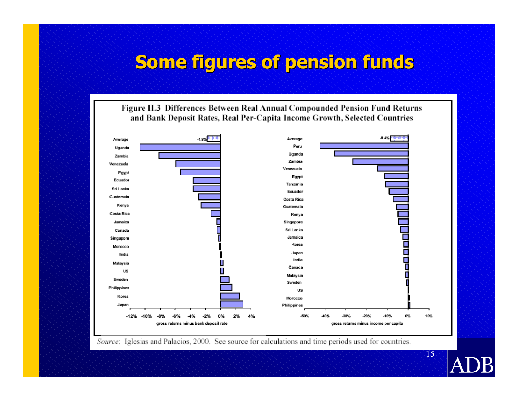#### **Some figures of pension funds**

Figure II.3 Differences Between Real Annual Compounded Pension Fund Returns and Bank Deposit Rates, Real Per-Capita Income Growth, Selected Countries



Source: Iglesias and Palacios, 2000. See source for calculations and time periods used for countries.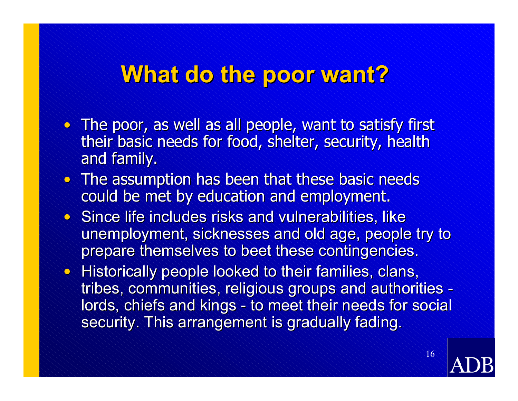## **What do the poor want?**

- $\bullet$  The poor, as well as all people, want to satisfy first their basic needs for food, shelter, security, health and family.
- $\bullet$  The assumption has been that these basic needs could be met by education and employment.
- $\bullet$  Since life includes risks and vulnerabilities, like unemployment, sicknesses and old age, people try to prepare themselves to beet these contingencies.
- Historically people looked to their families, clans, tribes, communities, religious groups and authorities, lords, chiefs and kings - to meet their needs for social security. This arrangement is gradually fading.

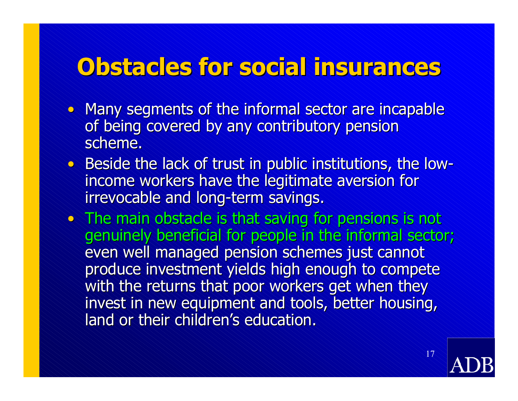# **Obstacles for social insurances Obstacles for social insurances**

- Many segments of the informal sector are incapable of being covered by any contributory pension scheme.
- Beside the lack of trust in public institutions, the low  $\leq$ income workers have the legitimate aversion for irrevocable and long-term savings.
- $\bullet$  The main obstacle is that saving for pensions is not genuinely beneficial for people in the informal sector; even well managed pension schemes just cannot produce investment yields high enough to compete with the returns that poor workers get when they invest in new equipment and tools, better housing, land or their children's education.

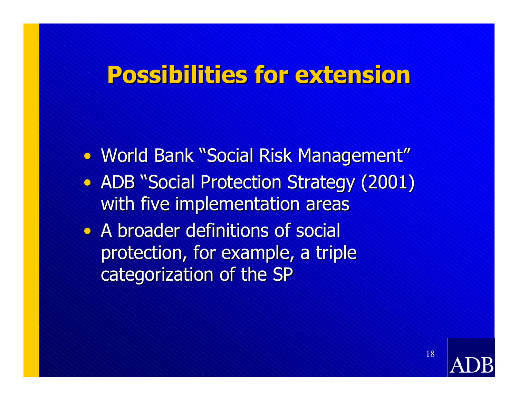## **Possibilities for extension Possibilities for extension**

• World Bank "Social Risk Management" • ADB "Social Protection Strategy (2001) with five implementation areas • A broader definitions of social

protection, for example, a triple categorization of the SP

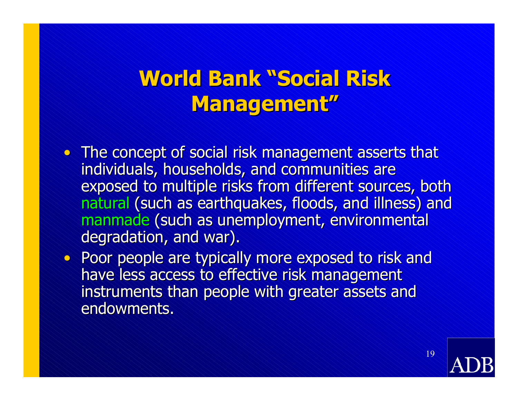### **World Bank "Social Risk Management" Management"**

- $\bullet$  The concept of social risk management asserts that individuals, households, and communities are exposed to multiple risks from different sources, both natural (such as earthquakes, floods, and illness) and manmade (such as unemployment, environmental degradation, and war).
- Poor people are typically more exposed to risk and have less access to effective risk management instruments than people with greater assets and endowments.

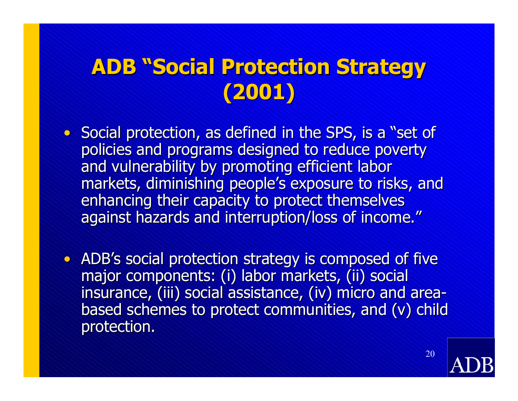## **ADB "Social Protection Strategy ADB "Social Protection Strategy (2001)**

- Social protection, as defined in the SPS, is a "set of policies and programs designed to reduce poverty and vulnerability by promoting efficient labor markets, diminishing people's exposure to risks, and enhancing their capacity to protect themselves against hazards and interruption/loss of income."
- ADB ''s social protection strategy is composed of five major components: (i) labor markets, (ii) social insurance, (iii) social assistance, (iv) micro and area based schemes to protect communities, and (v) child protection.

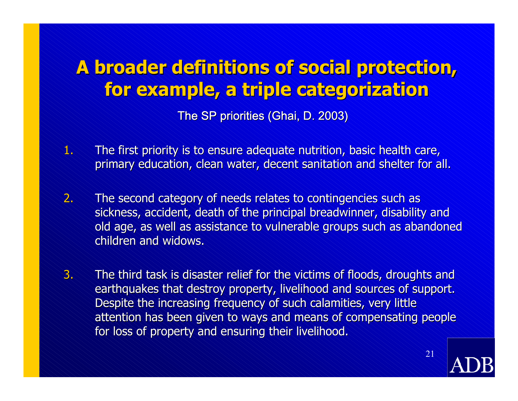## **A broader definitions of social protection, for example, a triple categorization for example, a triple categorization**

The SP priorities (Ghai, D. 2003)

- $\ket{\Psi}$ The first priority is to ensure adequate nutrition, basic health care, primary education, clean water, decent sanitation and shelter for all.
- $2^\scriptstyle\sim$  $\sim$  The second category of needs relates to contingencies such as  $\sim$ sickness, accident, death of the principal breadwinner, disability and old age, as well as assistance to vulnerable groups such as abandoned children and widows.
- 3. $\sim$  The third task is disaster relief for the victims of floods, droughts and  $\sim$ earthquakes that destroy property, livelihood and sources of support. Despite the increasing frequency of such calamities, very little attention has been given to ways and means of compensating people for loss of property and ensuring their livelihood.

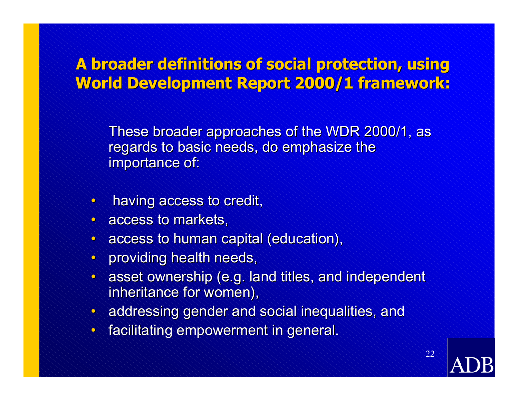#### **A broader definitions of social protection, using World Development Report 2000/1 framework:**

These broader approaches of the WDR 2000/1, as regards to basic needs, do emphasize the importance of:

- •having access to credit,
- access to markets,
- $\bullet$  access to human capital (education),
- $\bullet$ providing health needs,
- $\bullet$  asset ownership (e.g. land titles, and independent inheritance for women),
- $\bullet$  addressing gender and social inequalities, and
- facilitating empowerment in general.

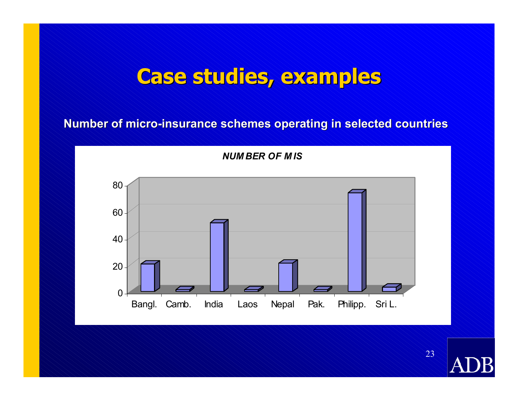## **Case studies, examples Case studies, examples**

**Number of micro Number of micro -insurance schemes operating in selected countries insurance schemes operating in selected countries**



*NUM BER O F M IS*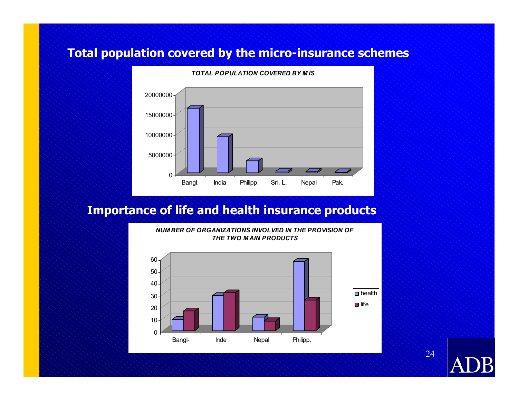#### **Total population covered by the micro-ins urance schemes**



#### **Importance of life and health insurance products**

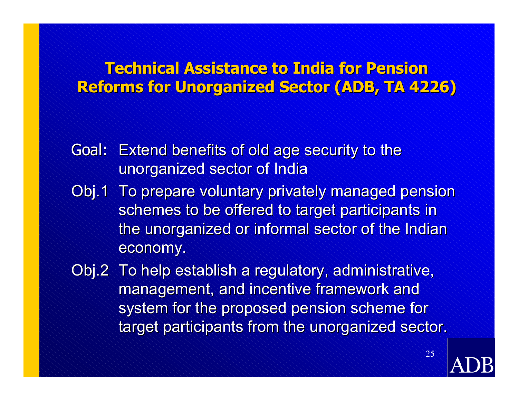#### **Technical Assistance to India for Pension Reforms for Unorganized Sector Reforms for Unorganized Sector (ADB, TA 4226) (ADB, TA 4226)**

- Goal: Extend benefits of old age security to the unorganized sector of India
- Obj.1 To prepare voluntary privately managed pension schemes to be offered to target participants in the unorganized or informal sector of the Indian economy.
- Obj.2 To help establish a regulatory, administrative, management, and incentive framework and system for the proposed pension scheme for target participants from the unorganized sector.

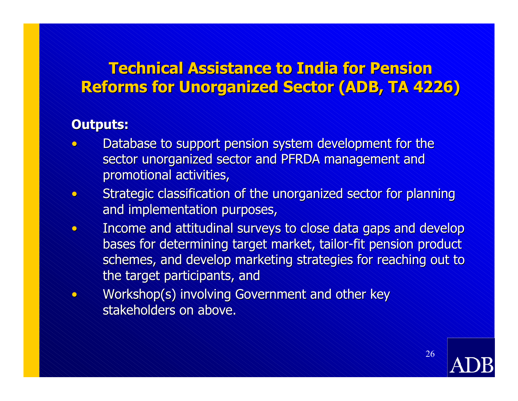#### **Technical Assistance to India for Pension Reforms for Unorganized Sector Reforms for Unorganized Sector (ADB, TA 4226) (ADB, TA 4226)**

#### **Outputs: Outputs:**

 $\bullet$ 

- $\bullet$ Database to support pension system development for the sector unorganized sector and PFRDA management and promotional activities,
- $\bullet$ Strategic classification of the unorganized sector for planning and implementation purposes,
- •Income and attitudinal surveys to close data gaps and develop bases for determining target market, tailor-fit pension product schemes, and develop marketing strategies for reaching out to the target participants, and
	- Workshop(s) involving Government and other key stakeholders on above.

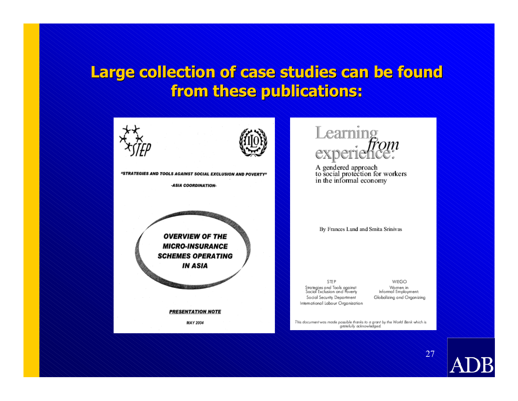#### Large collection of case studies can be found **from these publications: from these publications:**





"STRATEGIES AND TOOLS AGAINST SOCIAL EXCLUSION AND POVERTY"

-ASIA COORDINATION-



**PRESENTATION NOTE** 

**MAY 2004** 



A gendered approach<br>to social protection for workers<br>in the informal economy

By Frances Lund and Smita Srinivas

STEP Strategies and Tools against<br>Social Exclusion and Poverty Social Security Department International Labour Organization

WIEGO Women in Informal Employment: Globalizing and Organizing

This document was made possible thanks to a grant by the World Bank which is gratefully acknowledged.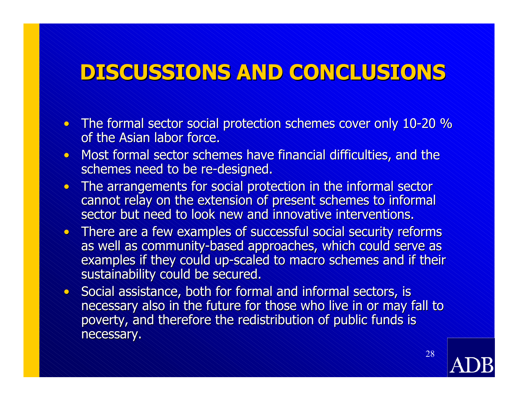## **DISCUSSIONS AND CONCLUSIONS DISCUSSIONS AND CONCLUSIONS**

- The formal sector social protection schemes cover only 10-20 % of the Asian labor force.
- Most formal sector schemes have financial difficulties, and the schemes need to be re-designed.
- The arrangements for social protection in the informal sector cannot relay on the extension of present schemes to informal sector but need to look new and innovative interventions.
- There are a few examples of successful social security reforms as well as community-based approaches, which could serve as examples if they could up-scaled to macro schemes and if their sustainability could be secured.
- Social assistance, both for formal and informal sectors, is necessary also in the future for those who live in or may fall to poverty, and therefore the redistribution of public funds is necessary.

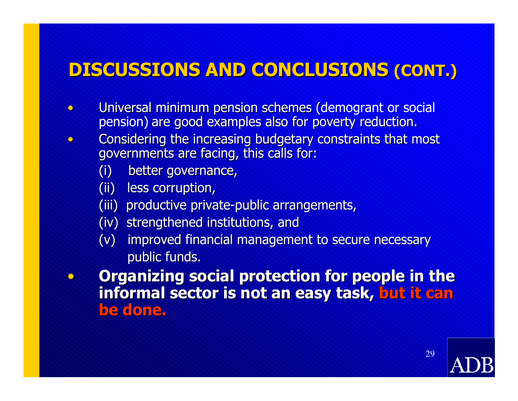#### **DISCUSSIONS AND CONCLUSIONS DISCUSSIONS AND CONCLUSIONS (CONT.) (CONT.)**

- $\bullet$  Universal minimum pension schemes (demogrant or social pension) are good examples also for poverty reduction.
	- Considering the increasing budgetary constraints that most governments are facing, this calls for:
		- (i) better governance, (i) better governance,
		- (ii) less corruption,

 $\bullet$ 

 $\bullet$ 

 $\bullet$ 

- (iii) productive private-public arrangements,
- (iv) strengthened institutions, and
- (v) improved financial management to secure necessary (v) improved financial management to secure necessary public funds.

**Organizing social protection for people in the** informal sector is not an easy task, but it can **be done. be done.**